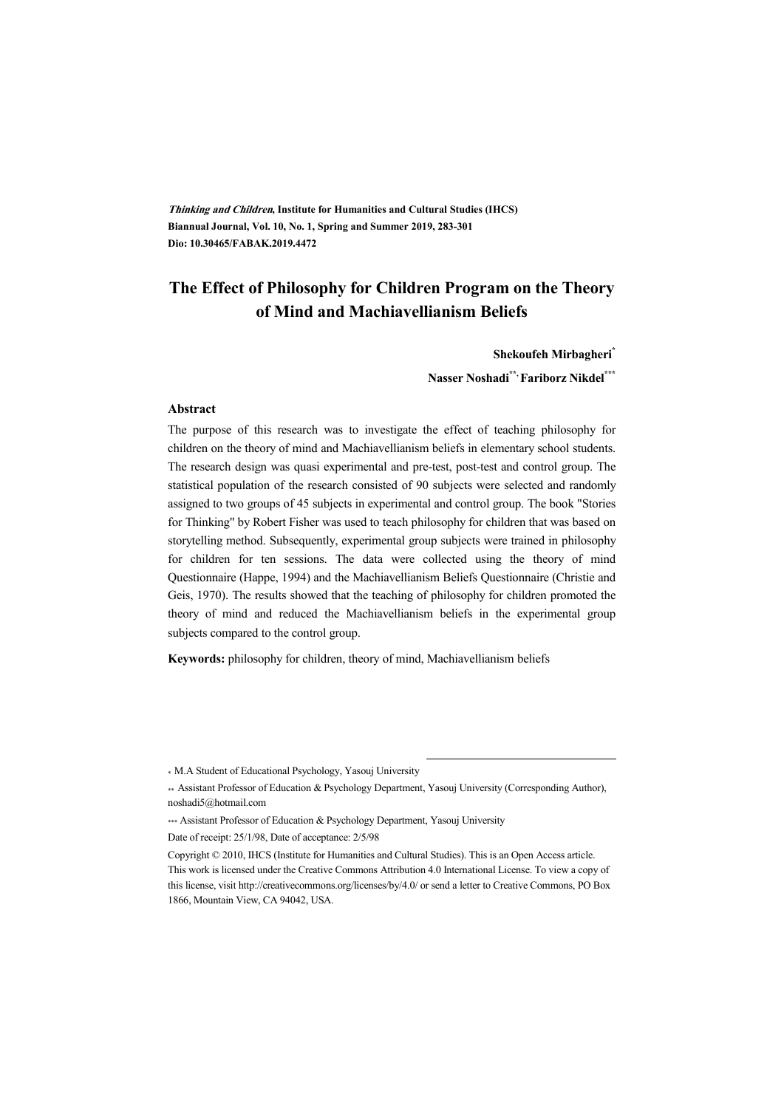**Thinking and Children, Institute for Humanities and Cultural Studies (IHCS) Biannual Journal, Vol. 10, No. 1, Spring and Summer 2019, 283-301 Dio: 10.30465/FABAK.2019.4472** 

## **The Effect of Philosophy for Children Program on the Theory of Mind and Machiavellianism Beliefs**

**Shekoufeh Mirbagheri\* Nasser Noshadi\*\*, Fariborz Nikdel\*\*\***

#### **Abstract**

The purpose of this research was to investigate the effect of teaching philosophy for children on the theory of mind and Machiavellianism beliefs in elementary school students. The research design was quasi experimental and pre-test, post-test and control group. The statistical population of the research consisted of 90 subjects were selected and randomly assigned to two groups of 45 subjects in experimental and control group. The book "Stories for Thinking" by Robert Fisher was used to teach philosophy for children that was based on storytelling method. Subsequently, experimental group subjects were trained in philosophy for children for ten sessions. The data were collected using the theory of mind Questionnaire (Happe, 1994) and the Machiavellianism Beliefs Questionnaire (Christie and Geis, 1970). The results showed that the teaching of philosophy for children promoted the theory of mind and reduced the Machiavellianism beliefs in the experimental group subjects compared to the control group.

**Keywords:** philosophy for children, theory of mind, Machiavellianism beliefs

:

<sup>\*</sup> M.A Student of Educational Psychology, Yasouj University

<sup>\*\*</sup> Assistant Professor of Education & Psychology Department, Yasouj University (Corresponding Author), noshadi5@hotmail.com

<sup>\*\*\*</sup> Assistant Professor of Education & Psychology Department, Yasouj University

Date of receipt: 25/1/98, Date of acceptance: 2/5/98

Copyright © 2010, IHCS (Institute for Humanities and Cultural Studies). This is an Open Access article. This work is licensed under the Creative Commons Attribution 4.0 International License. To view a copy of this license, visit http://creativecommons.org/licenses/by/4.0/ or send a letter to Creative Commons, PO Box 1866, Mountain View, CA 94042, USA.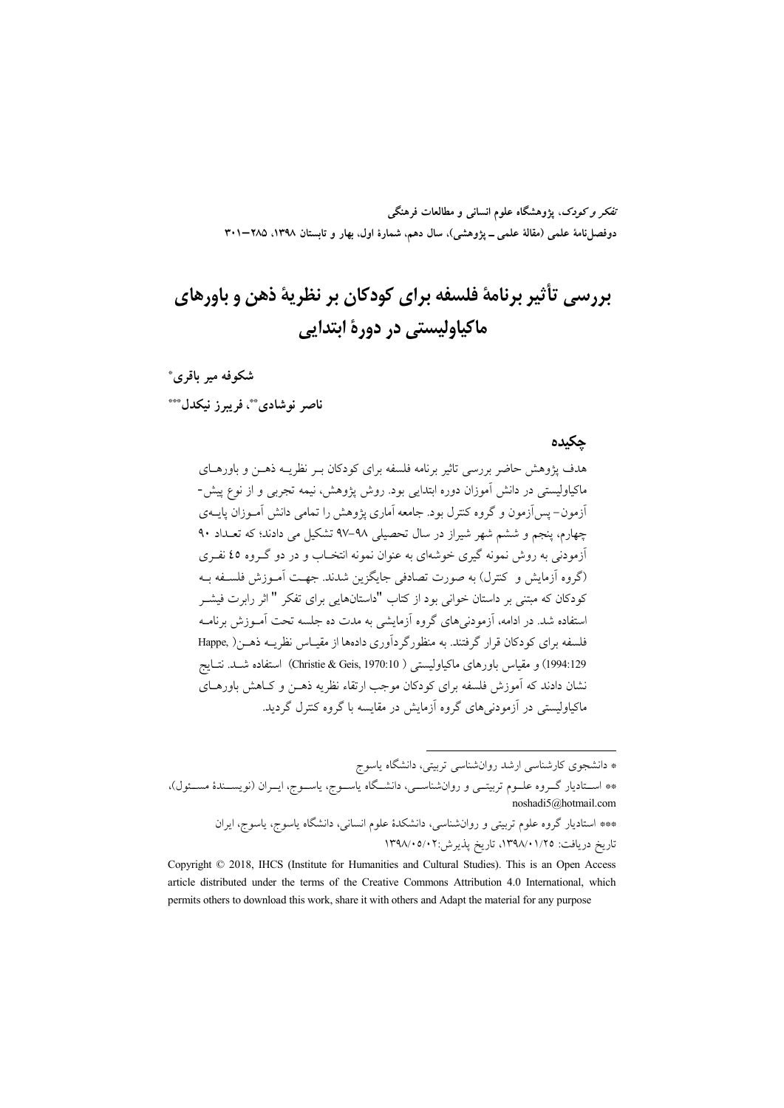تفکر و کودک، یژوهشگاه علوم انسانی و مطالعات فرهنگی دوفصلiامهٔ علمی (مقالهٔ علمی ــ پژوهشی)، سال دهم، شمارهٔ اول، بهار و تابستان ۱۳۹۸، ۲۰۵–۳۰۱

# بررسي تأثير برنامهٔ فلسفه براي کودکان بر نظريهٔ ذهن و باورهاي ماكياوليستي در دورهٔ ابتدايي

### شکوفه میر باقری\*

ناصر نوشادي \*\*، فريبرز نيكدل \*\*\*

#### حكىدە

هدف پژوهش حاضر بررسی تاثیر برنامه فلسفه برای کودکان ببر نظریبه ذهبن و باورهبای ماکیاولیستم ٍ در دانش آموزان دوره ابتدایی بود. روش پژوهش، نیمه تجربی و از نوع پیش-أزمون– یس اَزمون و گروه کنترل بود. جامعه اَماری پژوهش را تمامی دانش اَمـوزان پایــهی چهارم، پنجم و ششم شهر شیراز در سال تحصیلی ۹۸–۹۷ تشکیل می دادند؛ که تعـداد ۹۰ آزمودنی به روش نمونه گیری خوشهای به عنوان نمونه انتخـاب و در دو گـروه ٤٥ نفـری (گروه آزمایش و کنترل) به صورت تصادفی جایگزین شدند. جهت آمـوزش فلسـفه بـه کودکان که مبتنی بر داستان خوانی بود از کتاب "داستانهایی برای تفکر " اثر رابرت فیشــر استفاده شد. در ادامه، آزمودنبی های گروه آزمایشی به مدت ده جلسه تحت آمــوزش برنامــه فلسفه برای کودکان قرار گرفتند. به منظورگردآوری دادهها از مقیـاس نظریــه ذهــز ( Happe, 1994:129) و مقياس باورهاي ماكياوليستي ( Christie & Geis, 1970:10) استفاده شــد. نتــايج نشان دادند که آموزش فلسفه برای کودکان موجب ارتقاء نظریه ذهــن و کــاهش باورهــای ماکیاولیستی در آزمودنے های گروه آزمایش در مقایسه یا گروه کنترل گردید.

<sup>\*</sup> دانشجوی کارشناسی ارشد روانشناسی تربیتی، دانشگاه یاسوج \*\* اســتادیار گــروه علــوم تربیتــی و روانشناســی، دانشــگاه یاســوج، یاســوج، ایــران (نویســندهٔ مســئول)، noshadi5@hotmail.com \*\*\* استادیار گروه علوم تربیتی و روانشناسی، دانشکدهٔ علوم انسانی، دانشگاه یاسوج، یاسوج، ایران تاریخ دریافت: ١٣٩٨/٠١/٢٥، تاریخ پذیرش:٢٠٧/٠٥/٠٢

Copyright © 2018, IHCS (Institute for Humanities and Cultural Studies). This is an Open Access article distributed under the terms of the Creative Commons Attribution 4.0 International, which permits others to download this work, share it with others and Adapt the material for any purpose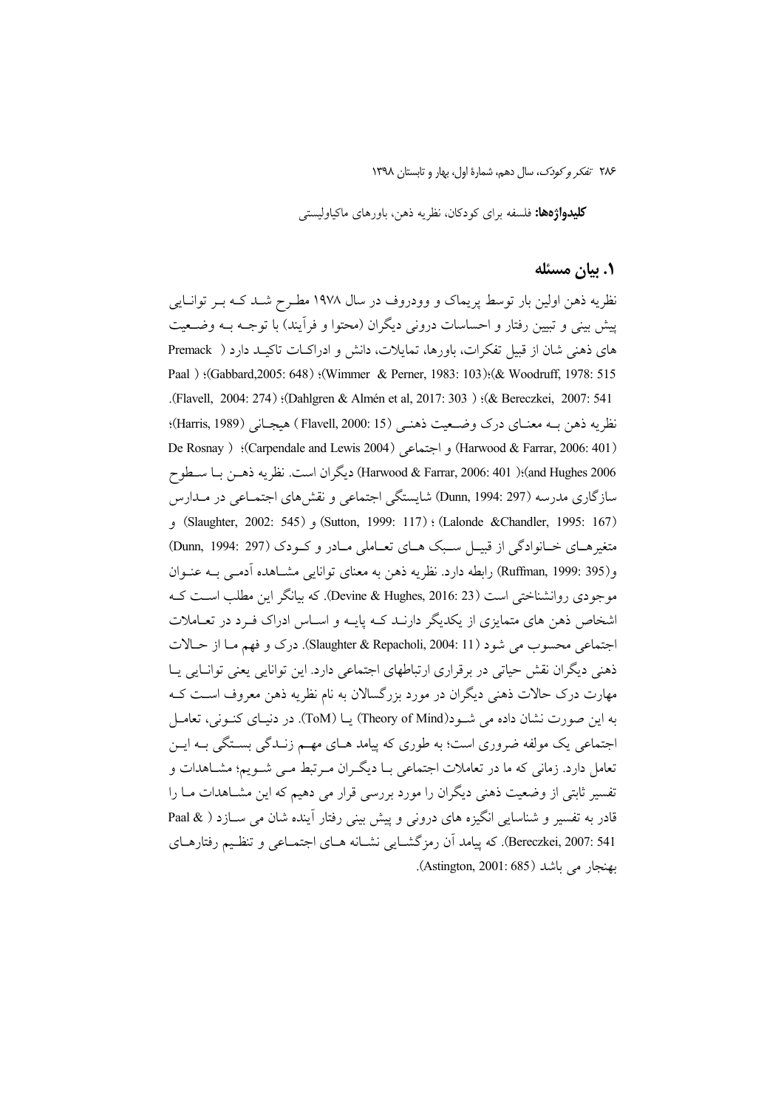**کلیدواژهها:** فلسفه برای کودکان، نظریه ذهن، باورهای ماکیاولیستی

### ۰۱ بیان مسئله

نظریه ذهن اولین بار توسط پریماک و وودروف در سال ۱۹۷۸ مطـرح شــد کــه بــر توانــایی پیش بینی و تبیین رفتار و احساسات درونی دیگران (محتوا و فرآیند) با توجـه بــه وضــعیت های ذهنی شان از قبیل تفکرات، باورها، تمایلات، دانش و ادراکـات تاکیـد دارد ( Premack Paal ) :(Gabbard,2005: 648) :(Wimmer & Perner, 1983: 103):(& Woodruff, 1978: 515 (Flavell, 2004: 274) (Dahlgren & Almén et al, 2017: 303) (& Bereczkei, 2007: 541). نظريه ذهن بـه معنـاي درك وضـعيت ذهنـي (15 :Flavell, 2000 ) هيجـاني (Harris, 1989)؛ (Harwood & Farrar, 2006: 401) و اجتماعي (Carpendale and Lewis 2004)؛ ( De Rosnay and Hughes 2006)؛( Harwood & Farrar, 2006: 401)؛( Harwood & Farrar, 2006)؛( به ذهـن بـا سـطوح سازگاری مدرسه (Dunn, 1994: 297) شایستگی اجتماعی و نقش های اجتمــاعی در مــدارس (Slaughter, 2002: 545) (Sutton, 1999: 117) (Lalonde & Chandler, 1995: 167) متغیرهـای خـانوادگی از قبیــل سـبک هـای تعــاملی مــادر و کــودک (Dunn, 1994: 297) و(199: Ruffman, 1999) رابطه دارد. نظريه ذهن به معناي توانايي مشــاهده آدمـي بــه عنــوان موجودي روانشناختي است (Devine & Hughes, 2016: 23). كه بيانگر اين مطلب است كـه اشخاص ذهن های متمایزی از یکدیگر دارنـد کـه پایـه و اسـاس ادراک فـرد در تعـاملات اجتماعي محسوب مي شود (Slaughter & Repacholi, 2004: 11). درك و فهم مـا از حـالات ذهنی دیگران نقش حیاتی در برقراری ارتباطهای اجتماعی دارد. این توانایی یعنی توانـایی پــا مهارت درک حالات ذهنی دیگران در مورد بزرگسالان به نام نظریه ذهن معروف اسـت کـه به این صورت نشان داده می شـود(Theory of Mind) یــا (ToM). در دنیــای کنــونی، تعامــل اجتماعی یک مولفه ضروری است؛ به طوری که پیامد هـای مهـم زنـدگی بسـتگی بــه ایــن تعامل دارد. زمانی که ما در تعاملات اجتماعی بـا دیگـران مـرتبط مـی شـویم؛ مشـاهدات و تفسیر ثابتی از وضعیت ذهنی دیگران را مورد بررسی قرار می دهیم که این مشـاهدات مـا را قادر به تفسیر و شناسایی انگیزه های درونی و پیش بینی رفتار آینده شان می ســازد ( & Paal Bereczkei, 2007: 541). كه پيامد آن رمزگشـايي نشـانه هـاي اجتمـاعي و تنظـيم رفتارهـاي بهنجار مي باشد (Astington, 2001: 685).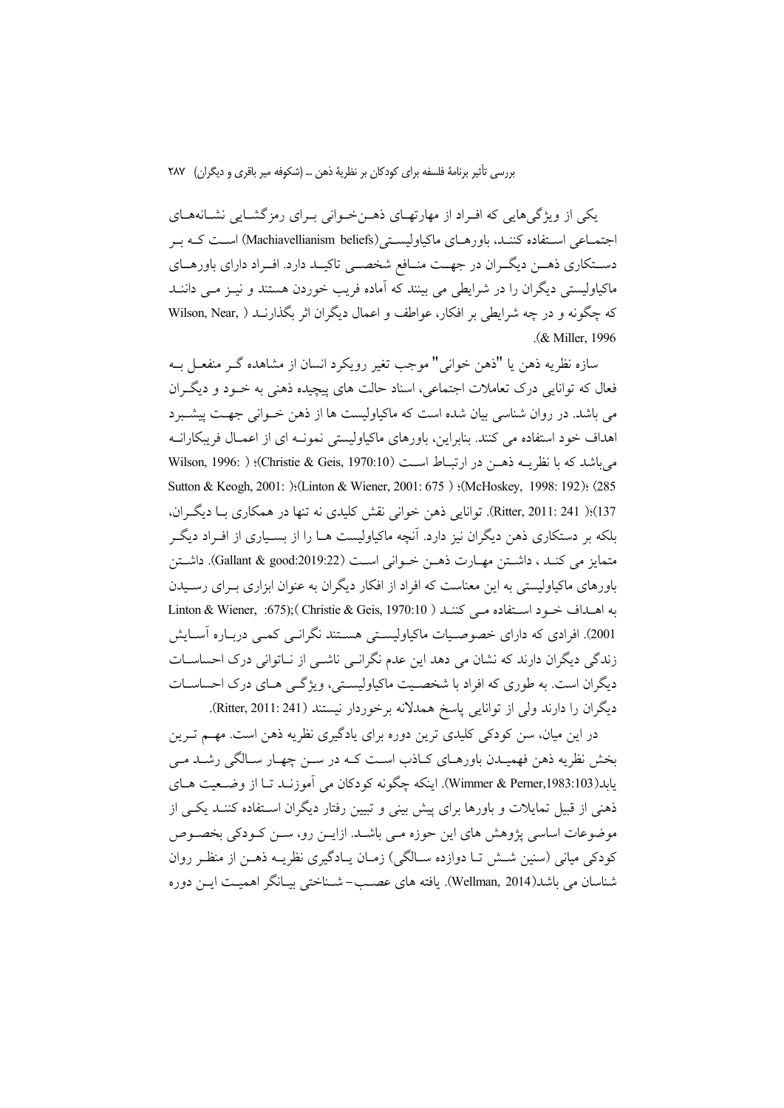یکی از ویژگی هایی که اف اد از مهارتهای ذهن خـوانی بـرای رمز گشـایی نشـانههـای اجتمـاعی اسـتفاده کننـد، باورهـای ماکیاولیسـتی(Machiavellianism beliefs) اسـت کـه بـر دستکاری ذهـن دیگـران در جهـت منـافع شخصــی تاکیــد دارد. افـراد دارای باورهــای ماکیاولیستی دیگران را در شرایطی می بینند که آماده فریب خوردن هستند و نیـز مـی داننــد كه چگونه و در چه شرايطي بر افكار، عواطف و اعمال ديگران اثر بگذارنــد ( .Wilson, Near .(& Miller, 1996).

سازه نظريه ذهن يا "ذهن خواني" موجب تغير رويكرد انسان از مشاهده گــر منفعــل بــه فعال که توانایی درک تعاملات اجتماعی، اسناد حالت های پیچیده ذهنی به خـود و دیگـران می باشد. در روان شناسی بیان شده است که ماکیاولیست ها از ذهن خـوانی جهـت پیشـبرد اهداف خود استفاده می کنند. بنابراین، باورهای ماکیاولیستی نمونـه ای از اعمـال فریبکارانـه م باشد كه با نظريــه ذهــن در ارتبــاط اســت (Christie & Geis, 1970:10)؛ ( Wilson, 1996: ) Sutton & Keogh, 2001: ):(Linton & Wiener, 2001: 675) :(McHoskey, 1998: 192): (285 137)؛( Ritter, 2011: 241). توانايي ذهن خواني نقش كليدي نه تنها در همكاري بـا ديگران، بلکه بر دستکاری ذهن دیگران نیز دارد. آنچه ماکیاولیست هــا را از بســیاری از افــراد دیگــر متمايز مي كنـد ، داشــتن مهــارت ذهــن خــواني اســت (Gallant & good:2019:22). داشــتن باورهای ماکیاولیستی به این معناست که افراد از افکار دیگران به عنوان ابزاری بـرای رسـیدن به اهـداف خـود اسـتفاده مـى كننـد ( Christie & Geis, 1970:10 ) : Linton & Wiener, :675); 2001). افرادی که دارای خصوصیات ماکیاولیستی هستند نگرانبی کمبی دربـاره آسـایش زندگی دیگران دارند که نشان می دهد این عدم نگرانبی ناشبی از نباتوانی درک احساسیات دیگران است. به طوری که افراد با شخصیت ماکیاولیستی، ویژگی هـای درک احساسـات ديگران را دارند ولي از توانايي پاسخ همدلانه برخوردار نيستند (Ritter, 2011: 241).

در این میان، سن کودکی کلیدی ترین دوره برای یادگیری نظریه ذهن است. مهم تـرین بخش نظریه ذهن فهمیـدن باورهـاي كـاذب اسـت كـه در سـن چهـار سـالگي رشـد مـي يابد(Wimmer & Perner,1983:103). اينكه چگونه كودكان مي آموزنـد تـا از وضـعيت هـاي ذهنی از قبیل تمایلات و باورها برای پیش بینی و تبیین رفتار دیگران استفاده کننـد یکـی از موضوعات اساسی پژوهش های این حوزه مبی باشــد. ازایــن رو، ســن کــودکی بخصــوص کودکی میانی (سنین شــش تــا دوازده ســالگی) زمــان یــادگیری نظریــه ذهــن از منظـر روان شناسان می باشد(Wellman, 2014). یافته های عصب– شـناختی بیــانگر اهمیــت ایــن دوره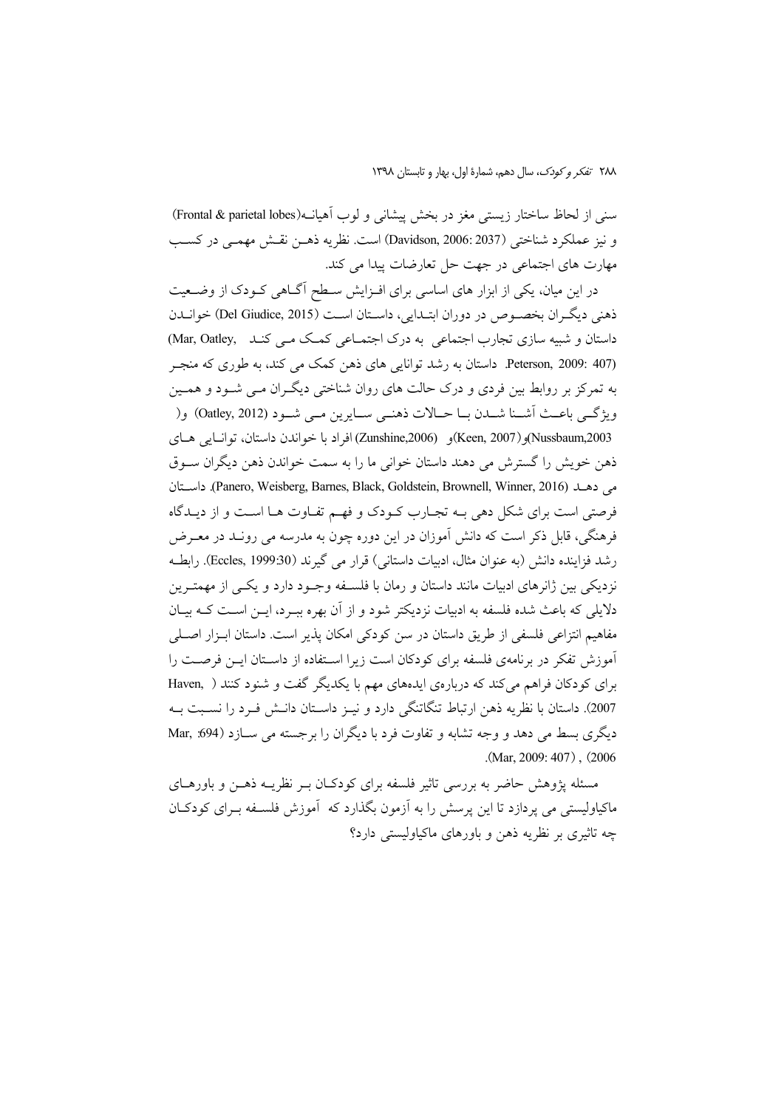٢٨٨ تفكر وكودك، سال دهم، شمارة اول، بهار و تابستان ١٣٩٨

سنی از لحاظ ساختار زیستی مغز در بخش پیشانی و لوب اَهیان(Frontal & parietal lobes) و نيز عملكرد شناختي (Davidson, 2006: 2037) است. نظريه ذهــن نقــش مهمــي در كسـب مهارت های اجتماعی در جهت حل تعارضات پیدا می کند.

در این میان، یکی از ابزار های اساسی برای افـزایش سـطح آگــاهی کــودک از وضــعیت ذهني ديگران بخصوص در دوران ابتـدايي، داســتان اســت (Del Giudice, 2015) خوانــدن داستان و شبیه سازی تجارب اجتماعی به درک اجتمـاعی کمـک مـی کنـد Mar, Oatley, Peterson, 2009: 407). داستان به رشد توانایی های ذهن کمک می کند، به طوری که منجر به تمرکز بر روابط بین فردی و درک حالت های روان شناختی دیگـران مـی شــود و همــین ويژگے باعـث أشــنا شــدن بــا حــالات ذهنــي ســايرين مــي شــود (Oatley, 2012) و( Nussbaum,2003)و(Keen, 2007)و (Zunshine,2006) افراد با خواندن داستان، توانيايي هياي ذهن خويش را گسترش مي دهند داستان خواني ما را به سمت خواندن ذهن ديگران ســوق مى دهــد (Panero, Weisberg, Barnes, Black, Goldstein, Brownell, Winner, 2016). داسـتان فرصتي است براي شكل دهي بـه تجـارب كـودك و فهـم تفـاوت هـا اسـت و از ديـدگاه فرهنگی، قابل ذکر است که دانش آموزان در این دوره چون به مدرسه می رونـد در معـرض رشد فزاینده دانش (به عنوان مثال، ادبیات داستانی) قرار می گیرند (Eccles, 1999:30). رابطـه نزدیکی بین ژانرهای ادبیات مانند داستان و رمان با فلسـفه وجـود دارد و یکـی از مهمتـرین دلایلی که باعث شده فلسفه به ادبیات نزدیکتر شود و از آن بهره ببـرد، ایــن اسـت کــه بیــان مفاهیم انتزاعی فلسفی از طریق داستان در سن کودکی امکان پذیر است. داستان ابـزار اصـلی آموزش تفکر در برنامهی فلسفه برای کودکان است زیرا استفاده از داستان این فرصت را برای کودکان فراهم می کند که دربارهی ایدههای مهم با یکدیگر گفت و شنود کنند ( Haven, ) 2007). داستان با نظریه ذهن ارتباط تنگاتنگی دارد و نیـز داسـتان دانـش فـرد را نسـبت بـه دیگری بسط می دهد و وجه تشابه و تفاوت فرد با دیگران را برجسته می سـازد (594: Mar,  $(Mar, 2009; 407)$ ,  $(2006$ 

مسئله پژوهش حاضر به بررسی تاثیر فلسفه برای کودکـان بـر نظریــه ذهــن و باورهــای ماکیاولیستی می یردازد تا این پرسش را به آزمون بگذارد که آموزش فلسـفه بـرای کودکـان چه تاثیری بر نظریه ذهن و باورهای ماکیاولیستی دارد؟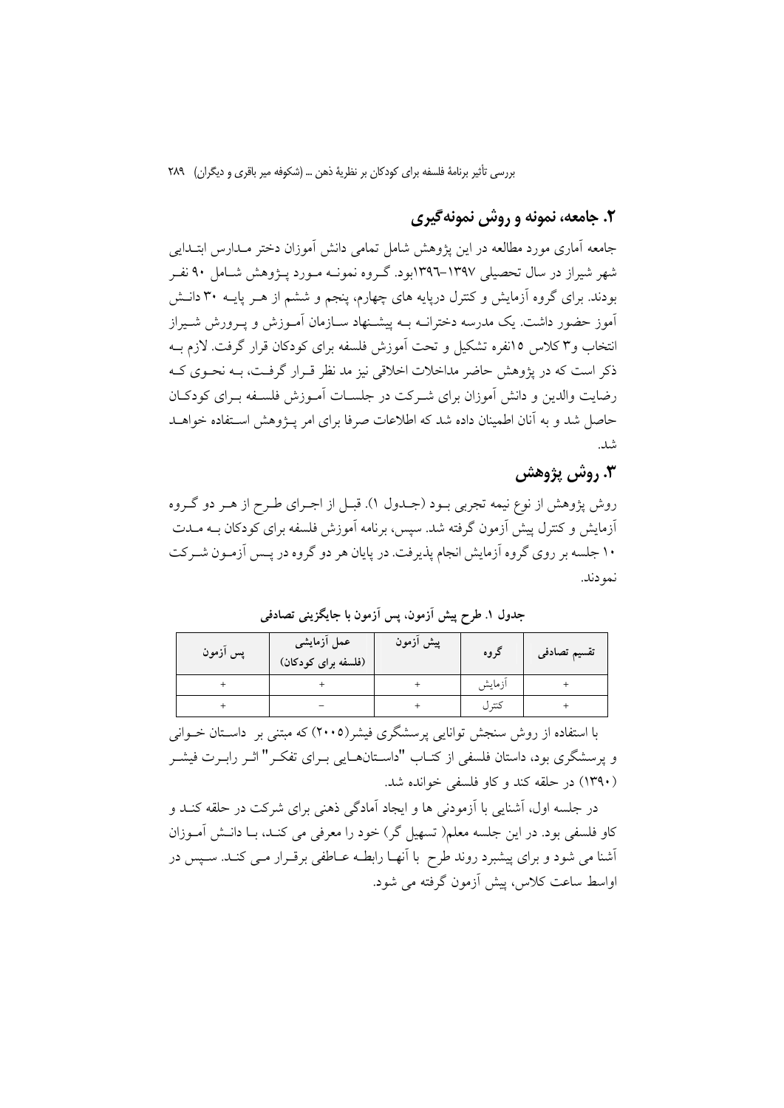# ۲. جامعه، نمونه و روش نمونه گیری

جامعه آماری مورد مطالعه در این یژوهش شامل تمامی دانش آموزان دختر مـدارس ابتـدایی شهر شیراز در سال تحصیلی ۱۳۹۷–۱۳۹۲بود. گـروه نمونــه مــورد پــژوهش شــامل ۹۰ نفــر بودند. برای گروه آزمایش و کنترل دریابه های چهارم، پنجم و ششم از هـر پایـه ۳۰ دانـش .<br>آموز حضور داشت. یک مدرسه دخترانــه بــه پیشــنهاد ســازمان آمــوزش و پــرورش شــیراز انتخاب و۳ کلاس ۱۵نفره تشکیل و تحت آموزش فلسفه برای کودکان قرار گرفت. لازم بـه ذکر است که در یژوهش حاضر مداخلات اخلاقی نیز مد نظر قبرار گرفت، بـه نحـوی کـه رضایت والدین و دانش آموزان برای شـرکت در جلســات آمــوزش فلســفه بــرای کودکــان حاصل شد و به آنان اطمینان داده شد که اطلاعات صرفا برای امر پـژوهش اسـتفاده خواهــد شد.

# 3. روش پژوهش

روش پژوهش از نوع نیمه تجربی بـود (جـدول ۱). قبـل از اجـرای طـرح از هـر دو گـروه آزمایش و کنترل پیش آزمون گرفته شد. سپس، برنامه آموزش فلسفه برای کودکان بــه مــدت ۱۰ جلسه بر روی گروه آزمایش انجام پذیرفت. در پایان هر دو گروه در پــس آزمــون شــرکت نمو دند.

| پس آزمون | عمل اَزمایش <i>ی</i><br>(فلسفه برای کودکان) | پیش ازمون | کروه   | تقسيم تصادفى |
|----------|---------------------------------------------|-----------|--------|--------------|
|          |                                             |           | ازمايش |              |
|          |                                             |           | كتر ل  |              |

جدول ١. طرح پیش آزمون. پس آزمون با جایگزینی تصادفی

با استفاده از روش سنجش توانایی پرسشگری فیشر(۲۰۰۵) که مبتنی بر داستان خـوانی و پرسشگری بود، داستان فلسفی از کتـاب "داســتانهــایی بــرای تفکــر" اثــر رابــرت فیشــر (۱۳۹۰) در حلقه کند و کاو فلسفی خوانده شد.

در جلسه اول، آشنایی با آزمودنی ها و ایجاد آمادگی ذهنی برای شرکت در حلقه کنــد و کاو فلسفی بود. در این جلسه معلم( تسهیل گر) خود را معرفی می کنـد، بــا دانـش آمــوزان أشنا می شود و برای پیشبرد روند طرح با آنهـا رابطـه عــاطفی برقــرار مــی کنــد. ســپس در اواسط ساعت کلاس، پیش آزمون گرفته می شود.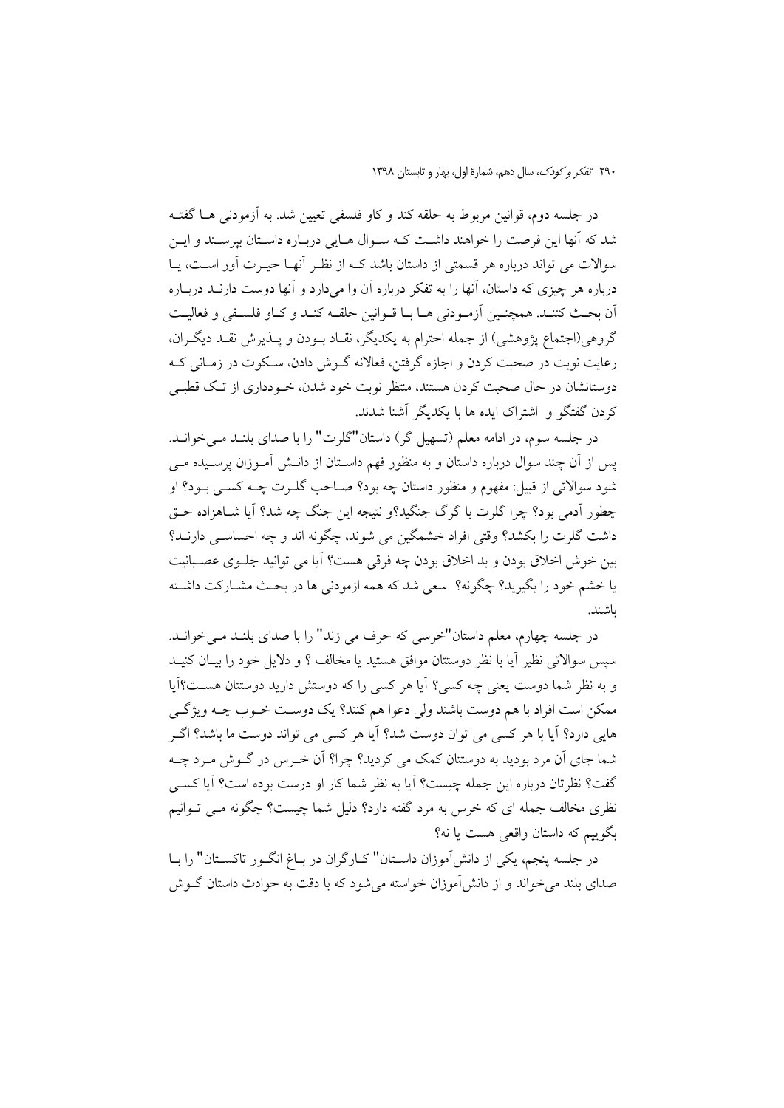در جلسه دوم، قوانین مربوط به حلقه کند و کاو فلسفی تعیین شد. به آزمودنی هــا گفتــه شد که آنها این فرصت را خواهند داشت کـه سـوال هـایی دربـاره داسـتان بیرسـند و ایـن سوالات می تواند درباره هر قسمتی از داستان باشد کـه از نظـر آنهـا حیــرت آور اســت، یــا درباره هر چیزی که داستان، آنها را به تفکر درباره آن وا میدارد و آنها دوست دارنــد دربــاره أن بحث كننـد. همچنـين أزمـودنى هـا بـا قـوانين حلقـه كنـد و كـاو فلسـفى و فعاليـت گروهي(اجتماع پژوهشي) از جمله احترام به يكديگر، نقـاد بـودن و پــذيرش نقــد ديگــران، رعايت نوبت در صحبت كردن و اجازه گرفتن، فعالانه گــوش دادن، ســكوت در زمــانى كــه دوستانشان در حال صحبت کردن هستند، منتظر نوبت خود شدن، خـودداری از تـک قطبـی کردن گفتگو و اشتراک ایده ها با یکدیگر آشنا شدند.

در جلسه سوم، در ادامه معلم (تسهیل گر) داستان"گلرت" را با صدای بلنـد مـی خوانـد. پس از آن چند سوال درباره داستان و به منظور فهم داسـتان از دانـش آمـوزان پرسـیده مـی شود سوالاتي از قبيل: مفهوم و منظور داستان چه بود؟ صـاحب گلــرت چــه کســي بــود؟ او چطور اَدمی بود؟ چرا گلرت با گرگ جنگید؟و نتیجه این جنگ چه شد؟ اَیا شـاهزاده حـق داشت گلرت را بکشد؟ وقتی افراد خشمگین می شوند، چگونه اند و چه احساسبی دارنــد؟ بين خوش اخلاق بودن و بد اخلاق بودن چه فرقي هست؟ آيا مي توانيد جلـوى عصـبانيت یا خشم خود را بگیرید؟ چگونه؟ سعی شد که همه ازمودنی ها در بحـث مشــارکت داشــته ىاشند.

در جلسه چهارم، معلم داستان"خرسی که حرف می زند" را با صدای بلنـد مـی خوانـد. سيس سوالاتي نظير آيا با نظر دوستتان موافق هستيد يا مخالف ؟ و دلايل خود را بيــان كنيــد و به نظر شما دوست یعنی چه کسی؟ آیا هر کسی را که دوستش دارید دوستتان هسـت؟آیا ممکن است افراد با هم دوست باشند ولی دعوا هم کنند؟ یک دوست خــوب چــه ویژگــی هایی دارد؟ آیا با هر کسی می توان دوست شد؟ آیا هر کسی می تواند دوست ما باشد؟ اگـر شما جای آن مرد بودید به دوستتان کمک می کردید؟ چرا؟ آن خـرس در گـوش مـرد چـه گفت؟ نظرتان درباره اين جمله چيست؟ آيا به نظر شما كار او درست بوده است؟ آيا كسبي نظری مخالف جمله ای که خرس به مرد گفته دارد؟ دلیل شما چیست؟ چگونه مـبی تــوانیم بگوييم كه داستان واقعي هست يا نه؟

در جلسه پنجم، یکی از دانش آموزان داسـتان" کــارگران در بــاغ انگــور تاکســتان" را بــا صدای بلند می خواند و از دانش آموزان خواسته می شود که با دقت به حوادث داستان گـوش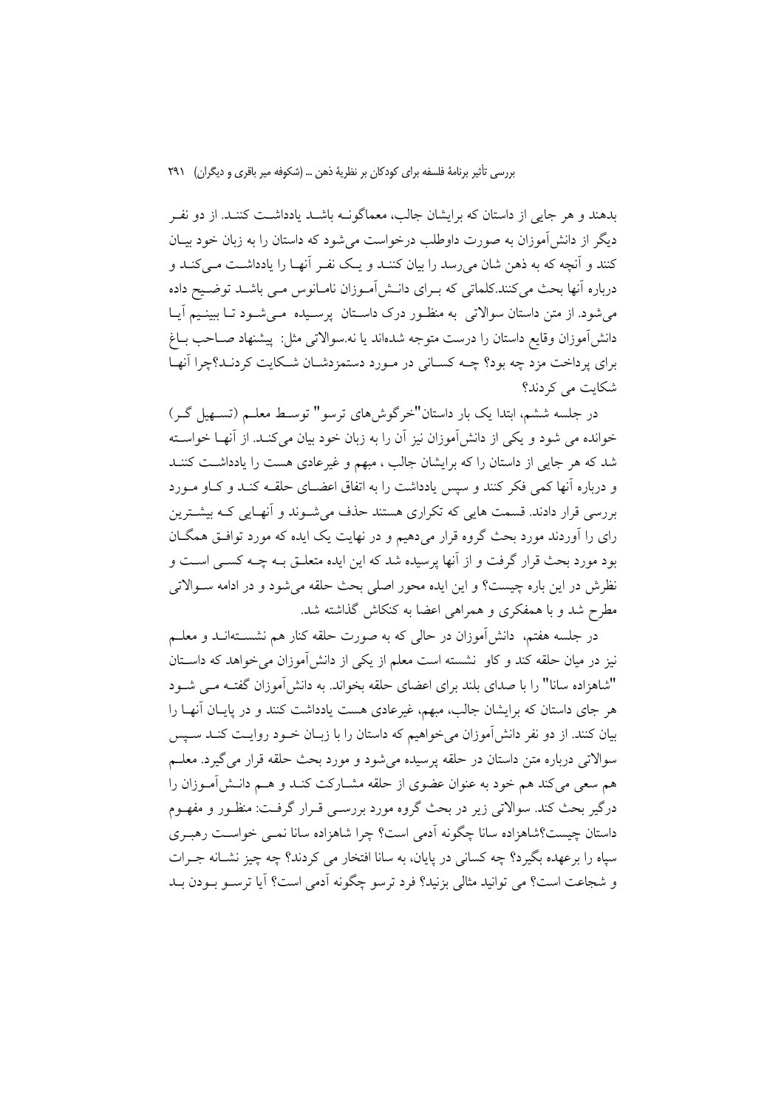بدهند و هر جایی از داستان که برایشان جالب، معماگونــه باشــد یادداشــت کننــد. از دو نفــر دیگر از دانش آموزان به صورت داوطلب درخواست می شود که داستان را به زبان خود بیـان کنند و آنچه که به ذهن شان میرسد را بیان کننـد و یـک نفـر آنهـا را یادداشـت مـیکنـد و درباره آنها بحث می کنند.کلماتی که بـرای دانـش[مـوزان نامـانوس مـی باشـد توضـیح داده می شود. از متن داستان سوالاتی به منظـور درک داسـتان پرسـیده مـی شـود تـا ببینـیم آیـا دانش|موزان وقايع داستان را درست متوجه شدهاند يا نه سوالاتي مثل: پيشنهاد صــاحب بــاغ برای پرداخت مزد چه بود؟ چــه کســانی در مــورد دستمزدشــان شــکایت کردنــد؟چرا آنهــا شکانت می کردند؟

در جلسه ششم، ابتدا یک بار داستان"خرگوشهای ترسو" توسط معلـم (تسـهیل گـر) خوانده می شود و یکی از دانش[موزان نیز آن را به زبان خود بیان می کنـد. از آنهــا خواســته شد که هر جایی از داستان را که برایشان جالب ، مبهم و غیرعادی هست را یادداشت کننــد و درباره آنها کمی فکر کنند و سپس یادداشت را به اتفاق اعضــای حلقــه کنــد و کــاو مــورد بررسی قرار دادند. قسمت هایی که تکراری هستند حذف می شـوند و آنهـایی کـه بیشـترین رای را آوردند مورد بحث گروه قرار میدهیم و در نهایت یک ایده که مورد توافـق همگــان بود مورد بحث قرار گرفت و از آنها پرسیده شد که این ایده متعلـق بـه چـه کسـی اسـت و نظرش در این باره چیست؟ و این ایده محور اصلی بحث حلقه می شود و در ادامه سـوالاتی مطرح شد و با همفکری و همراهی اعضا به کنکاش گذاشته شد.

در جلسه هفتم، دانش آموزان در حالی که به صورت حلقه کنار هم نشســتهانــد و معلــم نیز در میان حلقه کند و کاو نشسته است معلم از یکی از دانشآموزان میخواهد که داستان "شاهزاده سانا" را با صدای بلند برای اعضای حلقه بخواند. به دانشآموزان گفتـه مـی شـود هر جای داستان که برایشان جالب، مبهم، غیرعادی هست یادداشت کنند و در پایـان آنهـا را بیان کنند. از دو نفر دانشآموزان میخواهیم که داستان را با زبـان خــود روایـت کنــد ســپس سوالاتی درباره متن داستان در حلقه پرسیده می شود و مورد بحث حلقه قرار می گیرد. معلـم هم سعی می کند هم خود به عنوان عضوی از حلقه مشــارکت کنــد و هــم دانــش آمــوزان را درگیر بحث کند. سوالاتی زیر در بحث گروه مورد بررسـی قـرار گرفـت: منظـور و مفهـوم داستان چیست؟شاهزاده سانا چگونه آدمی است؟ چرا شاهزاده سانا نمبی خواسـت رهبـری سیاه را برعهده بگیرد؟ چه کسانی در پایان، به سانا افتخار می کردند؟ چه چیز نشـانه جـرات و شجاعت است؟ مي توانيد مثالي بزنيد؟ فرد ترسو چگونه آدمي است؟ آيا ترسـو بـودن بـد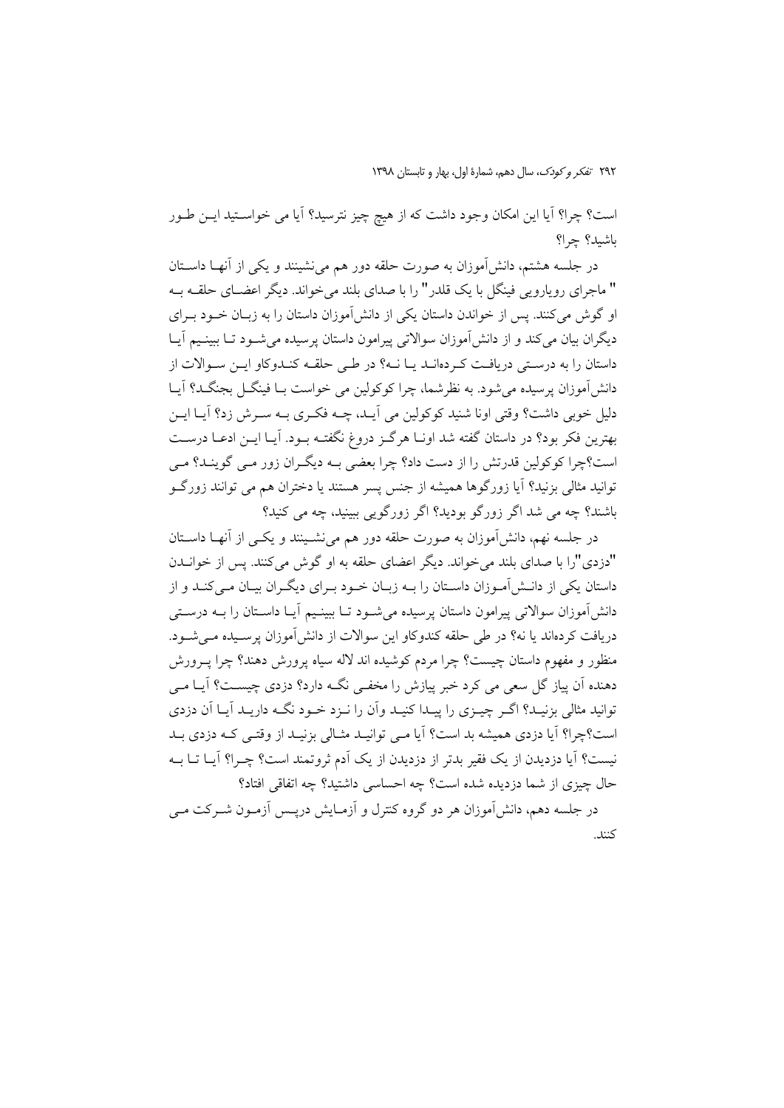٢٩٢ تفكر وكودك، سال دهم، شمارة اول، بهار و تابستان ١٣٩٨

است؟ چرا؟ آیا این امکان وجود داشت که از هیچ چیز نترسید؟ آیا می خواستید ایـن طـور باشىد؟ چرا؟

در جلسه هشتم، دانشآموزان به صورت حلقه دور هم می نشینند و یکی از آنهــا داســتان " ماجرای روپاروپی فینگل یا یک قلدر " را با صدای بلند می خواند. دیگر اعضـای حلقـه بـه او گوش می کنند. پس از خواندن داستان یکی از دانش آموزان داستان را به زبـان خــود بــرای دیگران بیان می کند و از دانش آموزان سوالاتی پیرامون داستان پرسیده می شــود تــا ببینــیم آیــا داستان را به درستی دریافت که دهانـد یـا نـه؟ در طـی حلقـه کنـدوکاو ایـن سـوالات از دانشآموزان پرسیده می شود. به نظرشما، چرا کوکولین می خواست بـا فینگــل بجنگــد؟ آیــا دلیل خوبی داشت؟ وقتی اونا شنید کوکولین می آیـد، چــه فکـری بــه سـرش زد؟ آیــا ایــن بهترين فكر بود؟ در داستان گفته شد اونــا هرگــز دروغ نگفتــه بــود. آيــا ايــن ادعــا درســت است؟چرا کوکولین قدرتش را از دست داد؟ چرا بعضی بـه دیگـران زور مـی گوینـد؟ مـی توانید مثالی بزنید؟ آیا زورگوها همیشه از جنس پسر هستند یا دختران هم می توانند زورگـو باشند؟ چه می شد اگر زورگو بودید؟ اگر زورگویی ببینید، چه می کنید؟

در جلسه نهم، دانشآموزان به صورت حلقه دور هم می نشـینند و یکـی از آنهــا داســتان "دزدي"را با صداي بلند مي خواند. ديگر اعضاي حلقه به او گوش مي كنند. پس از خوانــدن داستان یکی از دانـش آمـوزان داسـتان را بـه زبـان خـود بـرای دیگـران بیـان مـی کنـد و از دانشآموزان سوالاتی پیرامون داستان پرسیده میشـود تـا ببینـیم آیـا داسـتان را بــه درسـتی دریافت کردهاند یا نه؟ در طی حلقه کندوکاو این سوالات از دانش آموزان پرسـیده مـی شـود. منظور و مفهوم داستان چیست؟ چرا مردم کوشیده اند لاله سیاه پرورش دهند؟ چرا پــرورش دهنده اَن پیاز گل سعی می کرد خبر پیازش را مخفـی نگــه دارد؟ دزدی چیســت؟ اَیــا مــی توانید مثالی بزنیـد؟ اگـر چیــزی را پیــدا کنیـد واّن را نــزد خــود نگــه داریــد اّیــا اَن دزدی است؟چرا؟ آيا دزدي هميشه بد است؟ آيا مي توانيـد مثـالي بزنيـد از وقتـي كـه دزدي بـد نیست؟ آیا دزدیدن از یک فقیر بدتر از دزدیدن از یک آدم ثروتمند است؟ چـرا؟ آیـا تـا بــه حال چیزی از شما دزدیده شده است؟ چه احساسی داشتید؟ چه اتفاقی افتاد؟ در جلسه دهم، دانش[موزان هر دو گروه کنترل و آزمـایش درپـس آزمـون شــرکت مــی

كنند.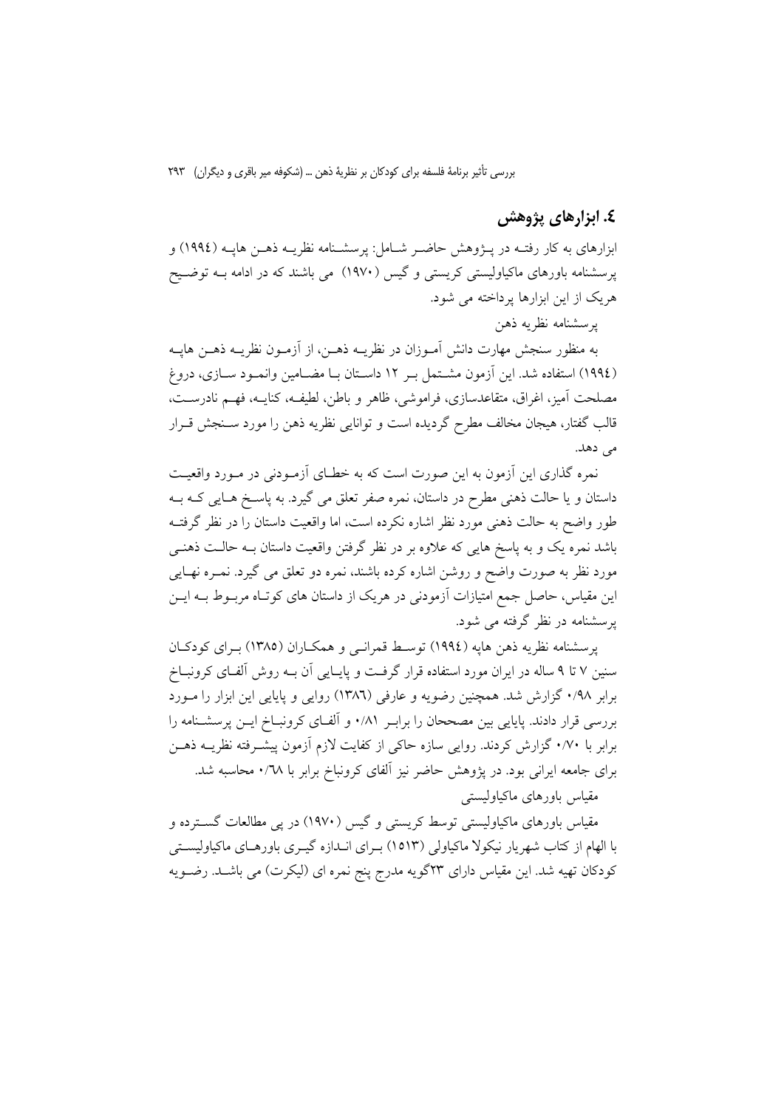### ٤. ابزارهای پژوهش

ابزارهای به کار رفتــه در پــژوهش حاضــر شــامل: پرسشــنامه نظریــه ذهــن هایــه (١٩٩٤) و پرسشنامه باورهای ماکیاولیستی کریستی و گیس (۱۹۷۰) می باشند که در ادامه بـه توضـیح هریک از این ابزارها پرداخته می شود.

يرسشنامه نظريه ذهن

به منظور سنجش مهارت دانش أمــوزان در نظريــه ذهــن، از أزمــون نظريــه ذهــن هايــه (١٩٩٤) استفاده شد. این آزمون مشـتمل بـر ١٢ داسـتان بـا مضـامین وانمـود ســازی، دروغ مصلحت آمیز، اغراق، متقاعدسازی، فراموشی، ظاهر و باطن، لطیفه، کنایــه، فهــم نادرســت، قالب گفتار، هیجان مخالف مطرح گردیده است و توانایی نظریه ذهن را مورد سـنجش قـرار می دهد.

نمره گذاری این آزمون به این صورت است که به خطـای آزمـودنی در مـورد واقعیـت داستان و یا حالت ذهنی مطرح در داستان، نمره صفر تعلق می گیرد. به پاسـخ هـایی کـه بـه طور واضح به حالت ذهنی مورد نظر اشاره نکرده است، اما واقعیت داستان را در نظر گرفتــه باشد نمره یک و به پاسخ هایی که علاوه بر در نظر گرفتن واقعیت داستان بـه حالـت ذهنـی مورد نظر به صورت واضح و روشن اشاره کرده باشند، نمره دو تعلق می گیرد. نمــره نهــایی این مقیاس، حاصل جمع امتیازات آزمودنی در هریک از داستان های کوتـاه مربــوط بــه ایــن یرسشنامه در نظر گرفته می شود.

پرسشنامه نظریه ذهن هایه (١٩٩٤) توسط قمرانسی و همکـاران (١٣٨٥) بـرای کودکـان سنین ۷ تا ۹ ساله در ایران مورد استفاده قرار گرفت و پایـایی آن بـه روش آلفـای کرونبــاخ برابر ۰/۹۸ گزارش شد. همچنین رضویه و عارفی (۱۳۸٦) روایی و پایایی این ابزار را مـورد بررسی قرار دادند. پایایی بین مصححان را برابـر ۰/۸۱ و آلفـای کرونبـاخ ایــن پرسشـنامه را برابر با ۰/۷۰ گزارش کردند. روایی سازه حاکی از کفایت لازم آزمون پیشــرفته نظریــه ذهــن برای جامعه ایرانی بود. در پژوهش حاضر نیز آلفای کرونباخ برابر با ۰/٦٨ محاسبه شد. مقياس باورهاي ماكياوليستي

مقیاس باورهای ماکیاولیستی توسط کریستی و گیس (۱۹۷۰) در یی مطالعات گسترده و با الهام از کتاب شهریار نیکولا ماکیاولی (۱۵۱۳) بـرای انــدازه گیــری باورهــای ماکیاولیســتی كودكان تهيه شد. اين مقياس داراي ٢٣گويه مدرج پنج نمره اي (ليكرت) مي باشـد. رضـويه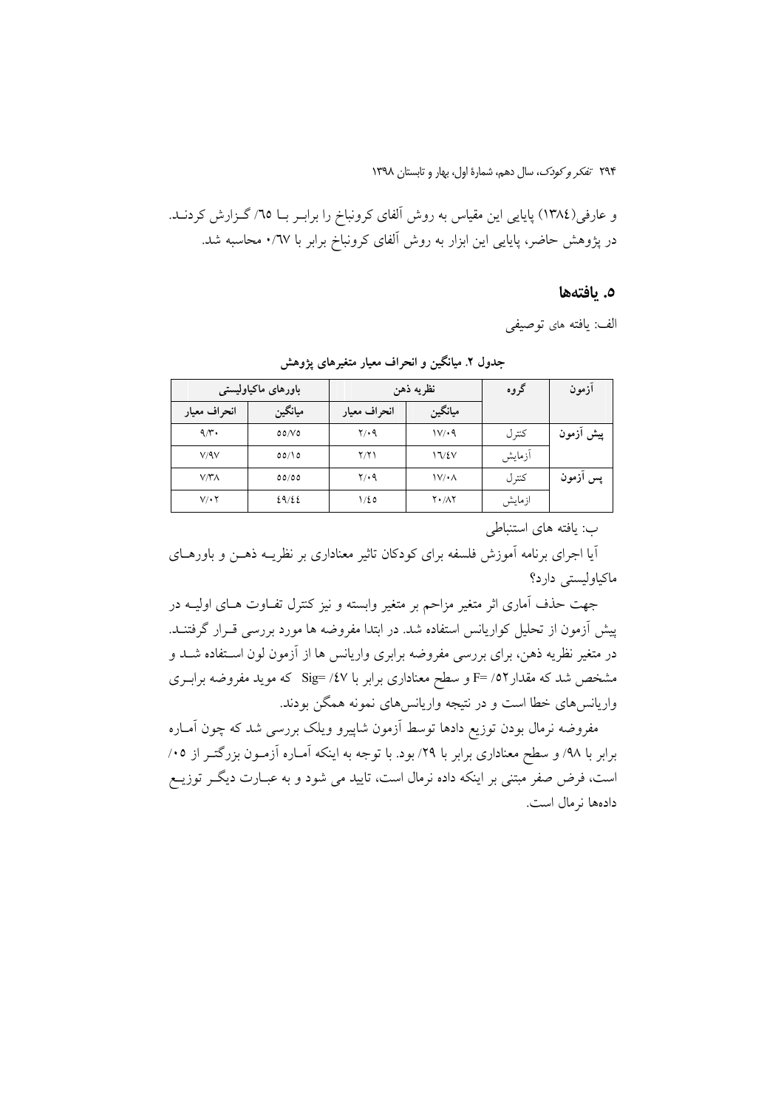و عارفی(١٣٨٤) پایایی این مقیاس به روش آلفای کرونباخ را برابـر بـا ٦٥/ گـزارش کردنــد. در پژوهش حاضر، پایایی این ابزار به روش آلفای کرونباخ برابر با ۰/٦٧ محاسبه شد.

### ٥. يافتەھا

الف: يافته هاى توصيفي

| باورهای ماکیاولیستی |         |              | نظريه ذهن                 | گروه   | ازمون     |
|---------------------|---------|--------------|---------------------------|--------|-----------|
| انحراف معيار        | ميانگين | انحراف معيار | ميانگين                   |        |           |
| 9/3                 | 00/V    | $Y \cdot 9$  | 1V/4                      | كتر ل  | پیش آزمون |
| V/9V                | 00/10   | Y/Y          | 17/2V                     | أزمايش |           |
| $V/\Upsilon\Lambda$ | 00/00   | $Y/\cdot$ 9  | $\mathcal{V}/\mathcal{M}$ | كنتر ل | پس أزمون  |
| $V/\cdot Y$         | 29/22   | ۱/٤٥         | $Y \cdot / \Lambda Y$     | ازمايش |           |

جدول ۲. میانگین و انحراف معیار متغیرهای پژوهش

ب: يافته هاي استنباطي

آیا اجرای برنامه آموزش فلسفه برای کودکان تاثیر معناداری بر نظریــه ذهــن و باورهــای ماكياوليستى دارد؟

جهت حذف آماری اثر متغیر مزاحم بر متغیر وابسته و نیز کنترل تفـاوت هـای اولیــه در پیش آزمون از تحلیل کواریانس استفاده شد. در ابتدا مفروضه ها مورد بررسی قــرار گرفتنــد. در متغیر نظریه ذهن، برای بررسی مفروضه برابری واریانس ها از آزمون لون اســتفاده شــد و مشخص شد که مقدار ٥٢/ F= و سطح معناداری برابر با Sig= /٤٧ که موید مفروضه برابــری واریانس های خطا است و در نتیجه واریانس های نمونه همگن بودند.

مفروضه نرمال بودن توزيع دادها توسط آزمون شاپيرو ويلک بررسي شد که چون آمـاره برابر با ۹۸/ و سطح معناداری برابر با ۲۹/ بود. با توجه به اینکه آمـاره آزمـون بزرگتـر از ۰۵/ است، فرض صفر مبتنی بر اینکه داده نرمال است، تایید می شود و به عبـارت دیگـر توزیــع دادهها نرمال است.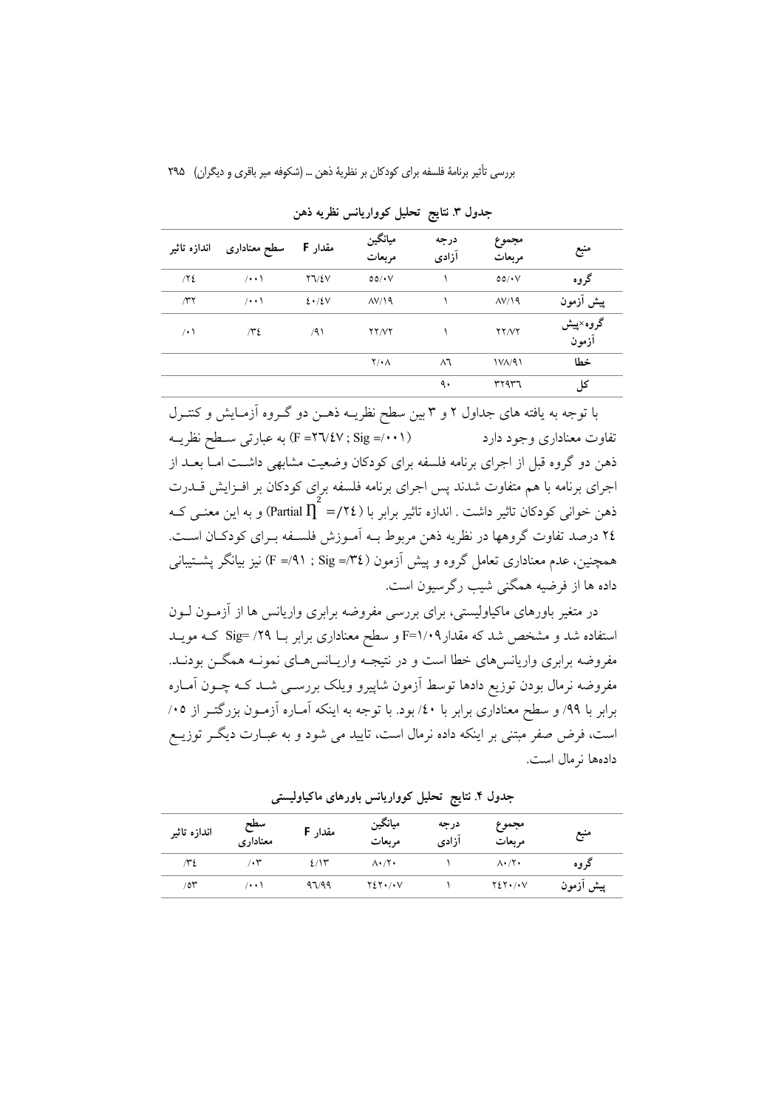| اندازه تاثير | سطح معنادارى          | مقدار F                 | ميانگين<br>مربعات     | درجه<br>آزادى | مجموع<br>مربعات       | منبع              |
|--------------|-----------------------|-------------------------|-----------------------|---------------|-----------------------|-------------------|
| /72          | $/ \cdot \cdot \cdot$ | $Y \Upsilon Y \Sigma V$ | $00/\cdot V$          |               | $00/\cdot V$          | گروه              |
| $\pi$ ۲      | $/ \cdot \cdot \cdot$ | 2.12V                   | $\Lambda V/\Lambda q$ |               | $\Lambda V/\Lambda q$ | پیش أزمون         |
| /٠١          | $\pi$                 | /91                     | <b>YY/VY</b>          |               | YY/YY                 | گروه×پیش<br>آزمون |
|              |                       |                         | $Y/\cdot \Lambda$     | $\wedge$      | $1V_A/91$             | خطا               |
|              |                       |                         |                       | ٩.            | ٣٢٩٣٦                 | کل                |

جدول ٣. نتايج تحليل كوواريانس نظريه ذهن

با توجه به یافته های جداول ۲ و ۳ بین سطح نظریــه ذهــن دو گــروه آزمـایش و کنتــرل (F=۲٦/٤٧ ; Sig =/٠٠١) به عبارتي سـطح نظريــه تفاوت معناداري وجود دارد ذهن دو گروه قبل از اجرای برنامه فلسفه برای کودکان وضعیت مشابهی داشــت امــا بعــد از اجرای برنامه با هم متفاوت شدند پس اجرای برنامه فلسفه برای کودکان بر افـزایش قــدرت ذهن خوانی کودکان تاثیر داشت . اندازه تاثیر برابر با (٢٤/= partial  $\prod^{\sim}$  و به این معنــی کــه ٢٤ درصد تفاوت گروهها در نظريه ذهن مربوط بـه أمـوزش فلسـفه بـراي كودكـان اسـت. همچنین، عدم معناداری تعامل گروه و پیش آزمون (٣٤= F =/٩١; Sig) نیز بیانگر پشــتیبانـی داده ها از فرضیه همگنی شیب رگرسیون است.

در متغیر باورهای ماکیاولیستی، برای بررسی مفروضه برابری واریانس ها از آزمـون لـون استفاده شد و مشخص شد که مقدار F=۱/۰۹ و سطح معناداری برابر بــا ۲۹/ Sig= کــه مویــد مفروضه برابری واریانسهای خطا است و در نتیجـه واریــانسهــای نمونــه همگــن بودنــد. مفروضه نرمال بودن توزيع دادها توسط آزمون شاپيرو ويلک بررســي شــد کــه چــون آمــاره برابر با ۹۹/ و سطح معناداری برابر با ٤٠/ بود. با توجه به اینکه آمـاره آزمـون بزرگتـر از ٠٥/ است، فرض صفر مبتنی بر اینکه داده نرمال است، تایید می شود و به عبـارت دیگـر توزیــع دادهها نرمال است.

| اندازه تاثير    | سطح<br>معناداري   | مقدار F    | ميانگين<br>مربعات                | درجه<br>آزادى | مجموع<br>مربعات                  | منبع      |
|-----------------|-------------------|------------|----------------------------------|---------------|----------------------------------|-----------|
| ٣٤              | $\cdot$ ۳         | $2/\gamma$ | $\Lambda \cdot / \Upsilon \cdot$ |               | $\Lambda \cdot / \Upsilon \cdot$ | گروه      |
| 10 <sup>o</sup> | $( \cdot \cdot )$ | 97/99      | $Y \Sigma Y \cdot / \cdot V$     |               | $Y \Sigma Y \cdot / \cdot V$     | پیش ازمون |

جدول ۴. نتایج تحلیل کوواریانس باورهای ماکیاولیستی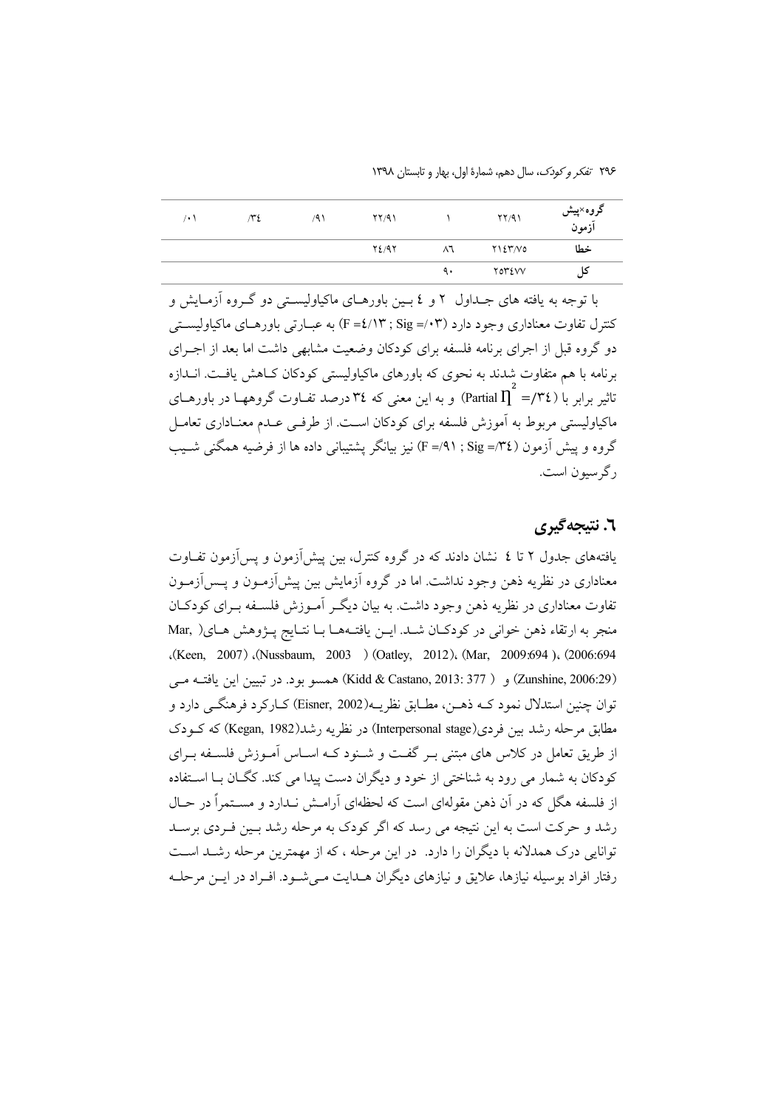۲۹۶ *تفکر و کودک*، سال دهم، شمارهٔ اول، بهار و تابستان ۱۳۹۸

| ۰۱ | ٤٣/ | /۹۱ | YY/91 |    | YY/91         | گروه×پیش<br>آزمون |
|----|-----|-----|-------|----|---------------|-------------------|
|    |     |     | 72/97 | ۸٦ | ۲۱٤٣/۷۵       | خطا               |
|    |     |     |       | ٩. | <b>TOTEVV</b> | دل                |

با توجه به یافته های جــداول ۲ و ٤ بــین باورهــای ماکیاولیســتی دو گــروه آزمــایش و کنترل تفاوت معناداری وجود دارد (F =٤/١٣ ; Sig =/٠٣) به عبــارتی باورهــای ماکیاولیســتی دو گروه قبل از اجرای برنامه فلسفه برای کودکان وضعیت مشابهی داشت اما بعد از اجـرای برنامه با هم متفاوت شدند به نحوی که باورهای ماکیاولیستی کودکان کـاهش یافـت. انــدازه تاثیر برابر با ( Partial  $\prod^* =/\mathfrak{r}$ ) و به این معنی که ۳٤ درصد تفــاوت گروههــا در باورهــای ماکیاولیستی مربوط به آموزش فلسفه برای کودکان است. از طرفـی عــدم معنــاداری تعامــل گروه و پیش آزمون (£7°/= F =/9) نیز بیانگر پشتیبانی داده ها از فرضیه همگنی شـیب ر گرسبون است.

### ٦. نتيجەگىرى

یافتههای جدول ۲ تا ٤ نشان دادند که در گروه کنترل، بین پیش آزمون و پس آزمون تفیاوت معناداری در نظریه ذهن وجود نداشت. اما در گروه آزمایش بین پیش[زمــون و پــس[زمــون تفاوت معناداری در نظریه ذهن وجود داشت. به بیان دیگـر آمـوزش فلسـفه بـرای کودکـان منجر به ارتقاء ذهن خواني در كودكان شـد. ايـن يافتـههـا بـا نتـايج پـژوهش هـاي( Mar, (Keen, 2007) (Nussbaum, 2003) (Oatley, 2012) (Mar, 2009:694) (2006:694 (Zunshine, 2006:29) و ( Kidd & Castano, 2013: 377) همسو بود. در تبيين اين يافتـه مـي توان چنين استدلال نمود کــه ذهــن، مطــابق نظريــه(Eisner, 2002) کــارکرد فرهنگــي دارد و مطابق مرحله رشد بین فردی(Interpersonal stage) در نظریه رشد(Kegan, 1982) که کـودک از طریق تعامل در کلاس های مبتنی بـر گفـت و شـنود کـه اسـاس آمـوزش فلسـفه بـرای کودکان به شمار می رود به شناختی از خود و دیگران دست پیدا می کند. کگـان بـا اسـتفاده از فلسفه هگل که در آن ذهن مقولهای است که لحظهای آرامش نـدارد و مسـتمراً در حـال رشد و حرکت است به این نتیجه می رسد که اگر کودک به مرحله رشد بـین فـردی برسـد توانایی درک همدلانه با دیگران را دارد. ً در این مرحله ، که از مهمترین مرحله رشـد اسـت رفتار افراد بوسیله نیازها، علایق و نیازهای دیگران هــدایت مــی شــود. افــراد در ایــن مرحلــه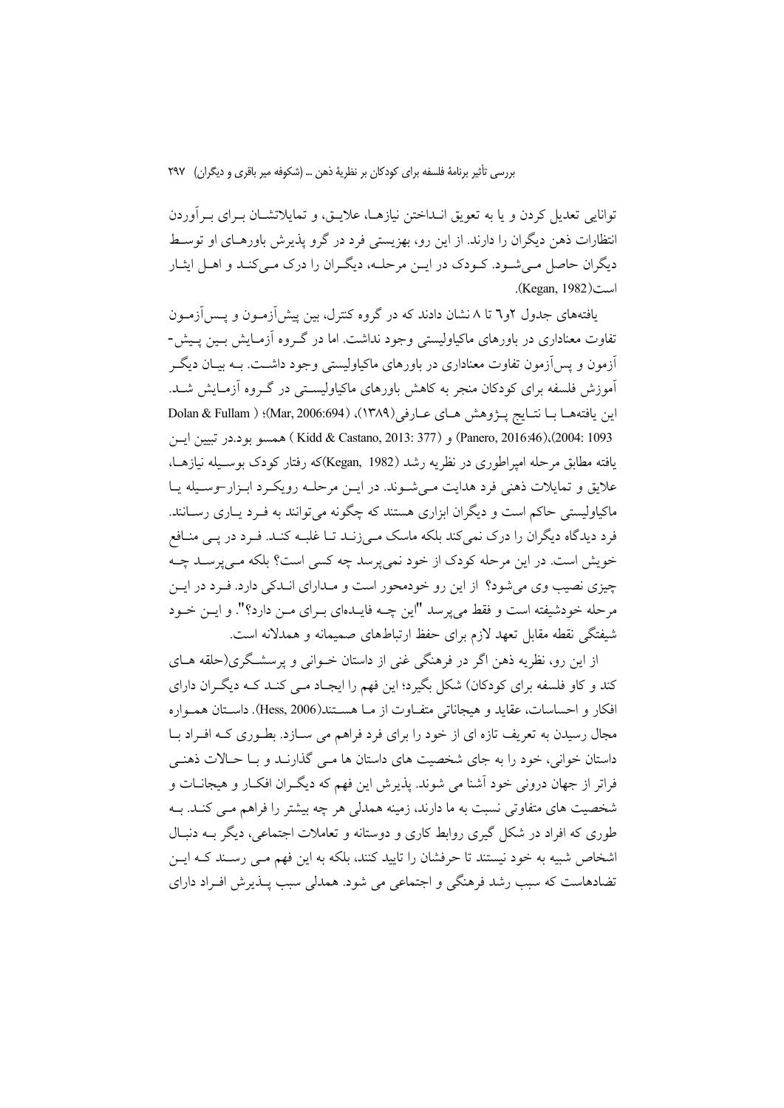توانایی تعدیل کردن و یا به تعویق انــداختن نیازهــا، علایــق، و تمایلاتشــان بــرای بــرآوردن انتظارات ذهن دیگران را دارند. از این رو، بهزیستی فرد در گرو پذیرش باورهـای او توسـط دیگران حاصل مـی شـود. کـودک در ایـن مرحلـه، دیگـران را درک مـی کنـد و اهـل ایثـار (Kegan, 1982).

یافتههای جدول ۲و۳ تا ۸ نشان دادند که در گروه کنترل، بین پیش[زمـون و پـس[زمـون تفاوت معناداری در باورهای ماکیاولیستی وجود نداشت. اما در گـروه آزمـایش بـین پـیش-اّزمون و پس آزمون تفاوت معناداری در باورهای ماکیاولیستی وجود داشــت. بــه بیــان دیگــر آموزش فلسفه برای کودکان منجر به کاهش باورهای ماکیاولیستی در گـروه ازمـایش شـد. اين يافتههـا بــا نتــايج يـــرْوهش هــاي عــارفي(١٣٨٩)، (186:694)؛ ( Dolan & Fullam Panero, 2016:46)،(2004: 1093) و Kidd & Castano, 2013: 377) همسو بود.در تبيين ايسن یافته مطابق مرحله امیراطوری در نظریه رشد (Kegan, 1982)که رفتار کودک بوسـیله نیازهـا، علایق و تمایلات ذهنی فرد هدایت مـیشـوند. در ایـن مرحلـه رویکـرد ابـزار-وسـیله یـا ماکیاولیستی حاکم است و دیگران ابزاری هستند که چگونه می توانند به فـرد پــاری رســانند. فرد دیدگاه دیگران را درک نمیکند بلکه ماسک مـیزنــد تــا غلبــه کنــد. فــرد در پــی منــافع خویش است. در این مرحله کودک از خود نمی پرسد چه کسی است؟ بلکه مـی پرسـد چـه چیزی نصیب وی می شود؟ از این رو خودمحور است و مـدارای انـدکی دارد. فـرد در ایـن مرحله خودشیفته است و فقط می پرسد "این چــه فایــدهای بــرای مــن دارد؟". و ایــن خــود شیفتگی نقطه مقابل تعهد لازم برای حفظ ارتباطهای صمیمانه و همدلانه است.

از این رو، نظریه ذهن اگر در فرهنگی غنی از داستان خــوانی و پرسشــگری(حلقه هــای کند و کاو فلسفه برای کودکان) شکل بگیرد؛ این فهم را ایجـاد مـی کنـد کـه دیگـران دارای افکار و احساسات، عقاید و هیجاناتی متفــاوت از مــا هســتند(Hess, 2006). داسـتان همــواره مجال رسیدن به تعریف تازه ای از خود را برای فرد فراهم می سـازد. بطـوری کـه افـراد بـا داستان خوانی، خود را به جای شخصیت های داستان ها مـی گذارنـد و بـا حـالات ذهنـی فراتر از جهان درونی خود آشنا می شوند. پذیرش این فهم که دیگـران افکـار و هیجانــات و شخصیت های متفاوتی نسبت به ما دارند، زمینه همدلی هر چه بیشتر را فراهم مـی کنـد. بـه طوري كه افراد در شكل گيري روابط كاري و دوستانه و تعاملات اجتماعي، ديگر بــه دنبـال اشخاص شبیه به خود نیستند تا حرفشان را تایید کنند، بلکه به این فهم مـی رســند کــه ایــن تضادهاست که سبب رشد فرهنگی و اجتماعی می شود. همدلی سبب پــذیرش افــراد دارای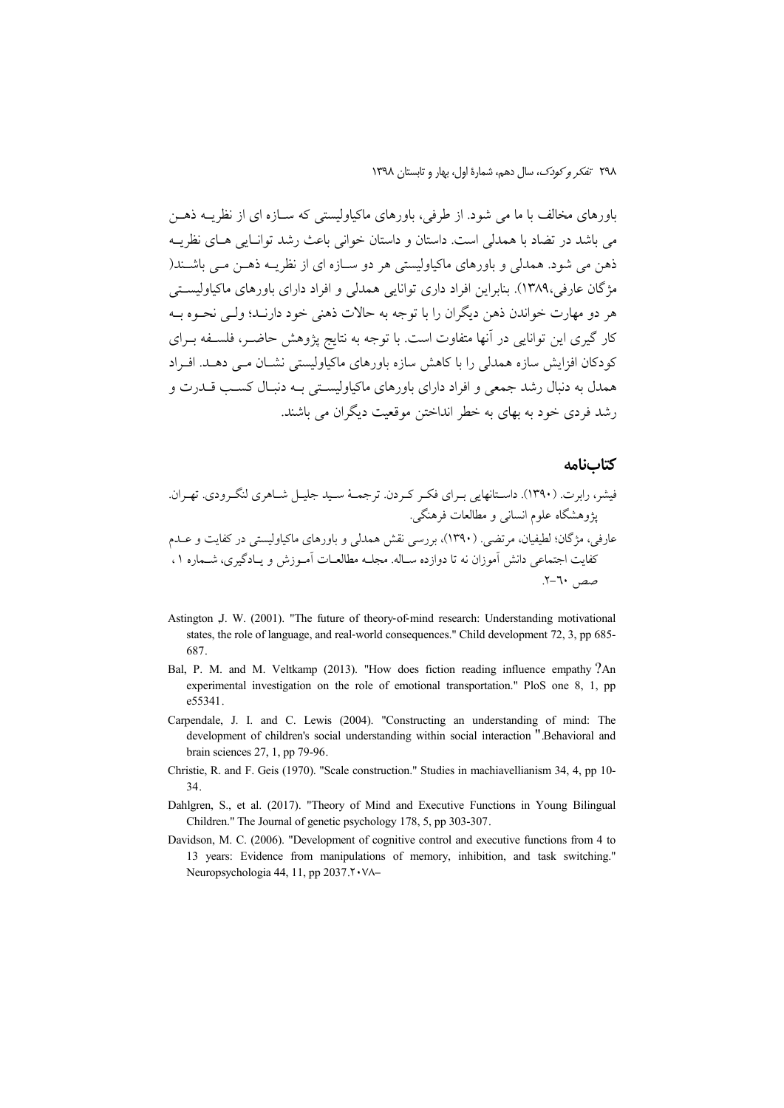٢٩٨ تفكر وكودك، سال دهم، شمارة اول، بهار و تابستان ١٣٩٨

باورهای مخالف با ما می شود. از طرفی، باورهای ماکیاولیستی که ســازه ای از نظریــه ذهــن می باشد در تضاد با همدلی است. داستان و داستان خوانی باعث رشد توانیایی هیای نظرییه ذهن مي شود. همدلي و باورهاي ماكياوليستي هر دو ســازه اي از نظريــه ذهــن مــي باشــند( مژگان عارفی،۱۳۸۹). بنابراین افراد داری توانایی همدلی و افراد دارای باورهای ماکیاولیستی هر دو مهارت خواندن ذهن دیگران را با توجه به حالات ذهنی خود دارنید؛ ولی نحیوه به کار گیری این توانایی در آنها متفاوت است. با توجه به نتایج پژوهش حاضـر، فلسـفه بـرای کودکان افزایش سازہ ہمدلی را با کاہش سازہ باورہای ماکیاولیستی نشــان مــی دھــد. افــراد همدل به دنبال رشد جمعی و افراد دارای باورهای ماکیاولیستی بـه دنبـال کسـب قــدرت و رشد فردی خود به بهای به خطر انداختن موقعیت دیگران می باشند.

#### كتابنامه

- Astington J. W. (2001). "The future of theory-of-mind research: Understanding motivational states, the role of language, and real-world consequences." Child development 72, 3, pp 685-687.
- Bal, P. M. and M. Veltkamp (2013). "How does fiction reading influence empathy ?An experimental investigation on the role of emotional transportation." PloS one 8, 1, pp e55341
- Carpendale, J. I. and C. Lewis (2004). "Constructing an understanding of mind: The development of children's social understanding within social interaction ".Behavioral and brain sciences 27, 1, pp 79-96.
- Christie, R. and F. Geis (1970). "Scale construction." Studies in machiavellianism 34, 4, pp 10-34.
- Dahlgren, S., et al. (2017). "Theory of Mind and Executive Functions in Young Bilingual Children." The Journal of genetic psychology 178, 5, pp 303-307.
- Davidson, M. C. (2006). "Development of cognitive control and executive functions from 4 to 13 years: Evidence from manipulations of memory, inhibition, and task switching." Neuropsychologia 44, 11, pp 2037 Y · VA-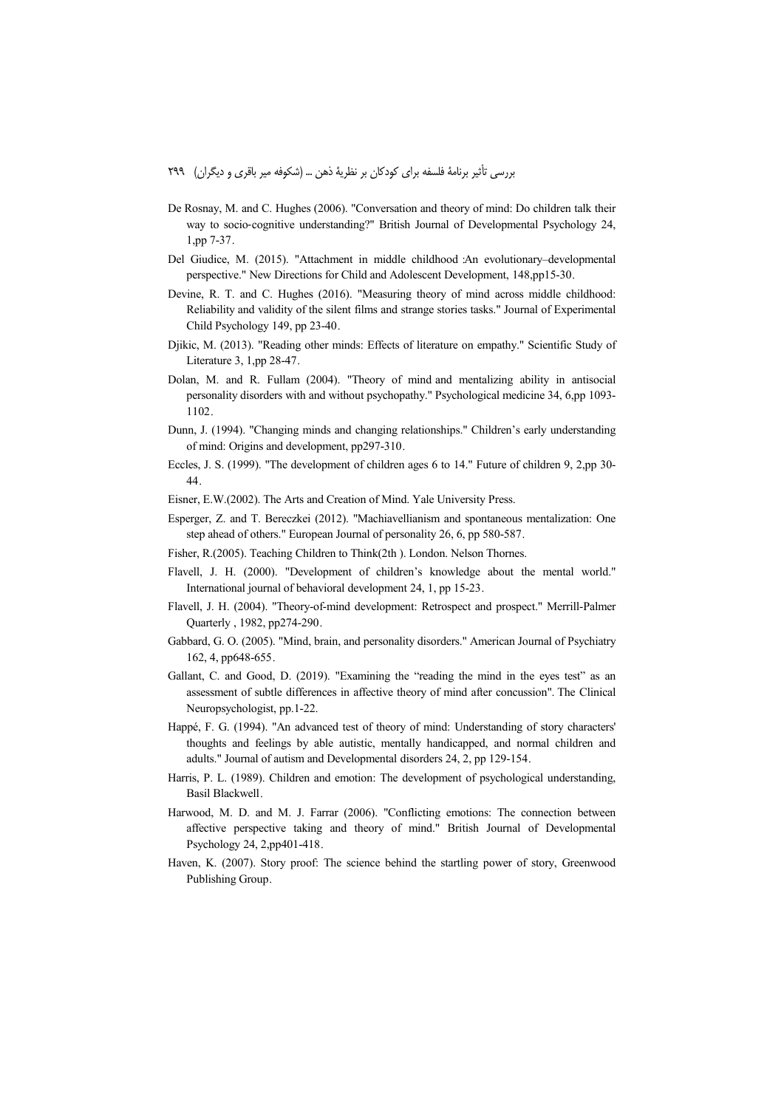- De Rosnay, M. and C. Hughes (2006). "Conversation and theory of mind: Do children talk their way to socio‐cognitive understanding?" British Journal of Developmental Psychology 24, 1,pp 7-37.
- Del Giudice, M. (2015). "Attachment in middle childhood :An evolutionary–developmental perspective." New Directions for Child and Adolescent Development, 148,pp15-30.
- Devine, R. T. and C. Hughes (2016). "Measuring theory of mind across middle childhood: Reliability and validity of the silent films and strange stories tasks." Journal of Experimental Child Psychology 149, pp 23-40.
- Djikic, M. (2013). "Reading other minds: Effects of literature on empathy." Scientific Study of Literature 3, 1,pp 28-47.
- Dolan, M. and R. Fullam (2004). "Theory of mind and mentalizing ability in antisocial personality disorders with and without psychopathy." Psychological medicine 34, 6,pp 1093- 1102.
- Dunn, J. (1994). "Changing minds and changing relationships." Children's early understanding of mind: Origins and development, pp297-310.
- Eccles, J. S. (1999). "The development of children ages 6 to 14." Future of children 9, 2,pp 30- 44.
- Eisner, E.W.(2002). The Arts and Creation of Mind. Yale University Press.
- Esperger, Z. and T. Bereczkei (2012). "Machiavellianism and spontaneous mentalization: One step ahead of others." European Journal of personality 26, 6, pp 580-587.
- Fisher, R.(2005). Teaching Children to Think(2th ). London. Nelson Thornes.
- Flavell, J. H. (2000). "Development of children's knowledge about the mental world." International journal of behavioral development 24, 1, pp 15-23.
- Flavell, J. H. (2004). "Theory-of-mind development: Retrospect and prospect." Merrill-Palmer Quarterly , 1982, pp274-290.
- Gabbard, G. O. (2005). "Mind, brain, and personality disorders." American Journal of Psychiatry 162, 4, pp648-655.
- Gallant, C. and Good, D. (2019). "Examining the "reading the mind in the eyes test" as an assessment of subtle differences in affective theory of mind after concussion". The Clinical Neuropsychologist, pp.1-22.
- Happé, F. G. (1994). "An advanced test of theory of mind: Understanding of story characters' thoughts and feelings by able autistic, mentally handicapped, and normal children and adults." Journal of autism and Developmental disorders 24, 2, pp 129-154.
- Harris, P. L. (1989). Children and emotion: The development of psychological understanding, Basil Blackwell.
- Harwood, M. D. and M. J. Farrar (2006). "Conflicting emotions: The connection between affective perspective taking and theory of mind." British Journal of Developmental Psychology 24, 2,pp401-418.
- Haven, K. (2007). Story proof: The science behind the startling power of story, Greenwood Publishing Group.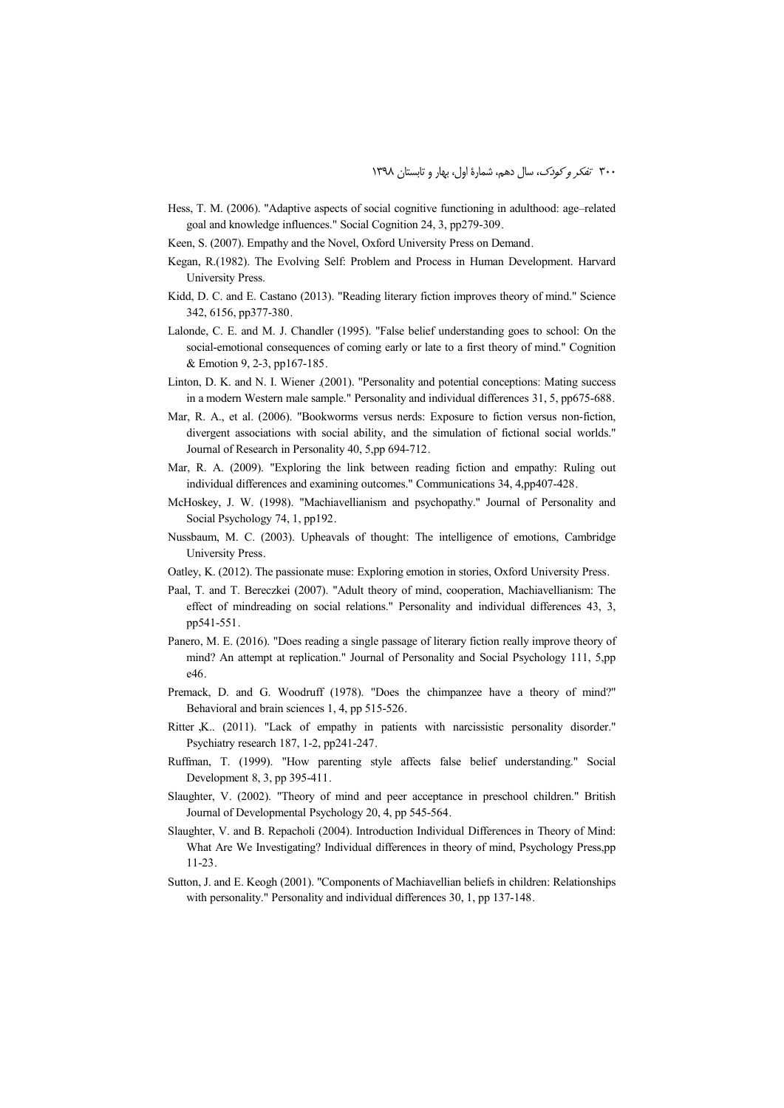- Hess, T. M. (2006). "Adaptive aspects of social cognitive functioning in adulthood: age–related goal and knowledge influences." Social Cognition 24, 3, pp279-309.
- Keen, S. (2007). Empathy and the Novel, Oxford University Press on Demand.
- Kegan, R.(1982). The Evolving Self: Problem and Process in Human Development. Harvard University Press.
- Kidd, D. C. and E. Castano (2013). "Reading literary fiction improves theory of mind." Science 342, 6156, pp377-380.
- Lalonde, C. E. and M. J. Chandler (1995). "False belief understanding goes to school: On the social-emotional consequences of coming early or late to a first theory of mind." Cognition & Emotion 9, 2-3, pp167-185.
- Linton, D. K. and N. I. Wiener .(2001). "Personality and potential conceptions: Mating success in a modern Western male sample." Personality and individual differences 31, 5, pp675-688.
- Mar, R. A., et al. (2006). "Bookworms versus nerds: Exposure to fiction versus non-fiction, divergent associations with social ability, and the simulation of fictional social worlds." Journal of Research in Personality 40, 5,pp 694-712.
- Mar, R. A. (2009). "Exploring the link between reading fiction and empathy: Ruling out individual differences and examining outcomes." Communications 34, 4,pp407-428.
- McHoskey, J. W. (1998). "Machiavellianism and psychopathy." Journal of Personality and Social Psychology 74, 1, pp192.
- Nussbaum, M. C. (2003). Upheavals of thought: The intelligence of emotions, Cambridge University Press.
- Oatley, K. (2012). The passionate muse: Exploring emotion in stories, Oxford University Press.
- Paal, T. and T. Bereczkei (2007). "Adult theory of mind, cooperation, Machiavellianism: The effect of mindreading on social relations." Personality and individual differences 43, 3, pp541-551.
- Panero, M. E. (2016). "Does reading a single passage of literary fiction really improve theory of mind? An attempt at replication." Journal of Personality and Social Psychology 111, 5,pp e46.
- Premack, D. and G. Woodruff (1978). "Does the chimpanzee have a theory of mind?" Behavioral and brain sciences 1, 4, pp 515-526.
- Ritter ,K.. (2011). "Lack of empathy in patients with narcissistic personality disorder." Psychiatry research 187, 1-2, pp241-247.
- Ruffman, T. (1999). "How parenting style affects false belief understanding." Social Development 8, 3, pp 395-411.
- Slaughter, V. (2002). "Theory of mind and peer acceptance in preschool children." British Journal of Developmental Psychology 20, 4, pp 545-564.
- Slaughter, V. and B. Repacholi (2004). Introduction Individual Differences in Theory of Mind: What Are We Investigating? Individual differences in theory of mind, Psychology Press,pp 11-23.
- Sutton, J. and E. Keogh (2001). "Components of Machiavellian beliefs in children: Relationships with personality." Personality and individual differences 30, 1, pp 137-148.